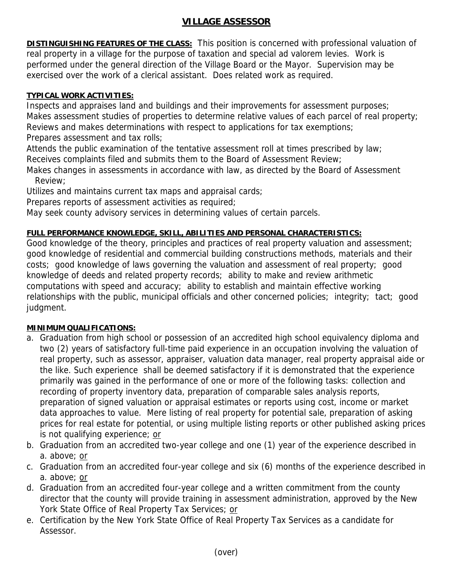# **VILLAGE ASSESSOR**

**DISTINGUISHING FEATURES OF THE CLASS:** This position is concerned with professional valuation of real property in a village for the purpose of taxation and special ad valorem levies. Work is performed under the general direction of the Village Board or the Mayor. Supervision may be exercised over the work of a clerical assistant. Does related work as required.

### **TYPICAL WORK ACTIVITIES:**

Inspects and appraises land and buildings and their improvements for assessment purposes; Makes assessment studies of properties to determine relative values of each parcel of real property; Reviews and makes determinations with respect to applications for tax exemptions; Prepares assessment and tax rolls;

Attends the public examination of the tentative assessment roll at times prescribed by law; Receives complaints filed and submits them to the Board of Assessment Review;

Makes changes in assessments in accordance with law, as directed by the Board of Assessment Review;

Utilizes and maintains current tax maps and appraisal cards;

Prepares reports of assessment activities as required;

May seek county advisory services in determining values of certain parcels.

## **FULL PERFORMANCE KNOWLEDGE, SKILL, ABILITIES AND PERSONAL CHARACTERISTICS:**

Good knowledge of the theory, principles and practices of real property valuation and assessment; good knowledge of residential and commercial building constructions methods, materials and their costs; good knowledge of laws governing the valuation and assessment of real property; good knowledge of deeds and related property records; ability to make and review arithmetic computations with speed and accuracy; ability to establish and maintain effective working relationships with the public, municipal officials and other concerned policies; integrity; tact; good judgment.

#### **MINIMUM QUALIFICATIONS:**

- a. Graduation from high school or possession of an accredited high school equivalency diploma and two (2) years of satisfactory full-time paid experience in an occupation involving the valuation of real property, such as assessor, appraiser, valuation data manager, real property appraisal aide or the like. Such experience shall be deemed satisfactory if it is demonstrated that the experience primarily was gained in the performance of one or more of the following tasks: collection and recording of property inventory data, preparation of comparable sales analysis reports, preparation of signed valuation or appraisal estimates or reports using cost, income or market data approaches to value. Mere listing of real property for potential sale, preparation of asking prices for real estate for potential, or using multiple listing reports or other published asking prices is not qualifying experience; or
- b. Graduation from an accredited two-year college and one (1) year of the experience described in a. above; or
- c. Graduation from an accredited four-year college and six (6) months of the experience described in a. above; or
- d. Graduation from an accredited four-year college and a written commitment from the county director that the county will provide training in assessment administration, approved by the New York State Office of Real Property Tax Services; or
- e. Certification by the New York State Office of Real Property Tax Services as a candidate for Assessor.